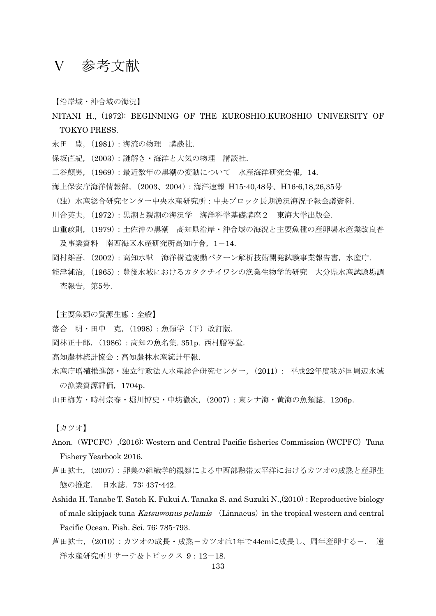## Ⅴ 参考文献

【沿岸域・沖合域の海況】

- NITANI H., (1972): BEGINNING OF THE KUROSHIO.KUROSHIO UNIVERSITY OF TOKYO PRESS.
- 永田 豊,(1981):海流の物理 講談社.
- 保坂直紀,(2003):謎解き・海洋と大気の物理 講談社.
- 二谷顛男,(1969):最近数年の黒潮の変動について 水産海洋研究会報,14.
- 海上保安庁海洋情報部,(2003、2004):海洋速報 H15-40,48号、H16-6,18,26,35号
- (独)水産総合研究センター中央水産研究所:中央ブロック長期漁況海況予報会議資料.
- 川合英夫,(1972):黒潮と親潮の海況学 海洋科学基礎講座2 東海大学出版会.
- 山重政則,(1979):土佐沖の黒潮 高知県沿岸・沖合域の海況と主要魚種の産卵場水産業改良普 及事業資料 南西海区水産研究所高知庁舎,1-14.
- 岡村雄吾,(2002):高知水試 海洋構造変動パターン解析技術開発試験事業報告書,水産庁.
- 能津純治,(1965):豊後水域におけるカタクチイワシの漁業生物学的研究 大分県水産試験場調 査報告,第5号.

【主要魚類の資源生態:全般】

- 落合 明·田中 克, (1998):魚類学(下)改訂版.
- 岡林正十郎,(1986):高知の魚名集. 351p. 西村謄写堂.
- 高知農林統計協会:高知農林水産統計年報.
- 水産庁増殖推進部・独立行政法人水産総合研究センター,(2011): 平成22年度我が国周辺水域 の漁業資源評価,1704p.
- 山田梅芳・時村宗春・堀川博史・中坊徹次,(2007):東シナ海・黄海の魚類誌,1206p.

【カツオ】

- Anon. (WPCFC), (2016): Western and Central Pacific fisheries Commission (WCPFC) Tuna Fishery Yearbook 2016.
- 芦田拡士,(2007):卵巣の組織学的観察による中西部熱帯太平洋におけるカツオの成熟と産卵生 態の推定. 日水誌.73: 437-442.
- Ashida H. Tanabe T. Satoh K. Fukui A. Tanaka S. and Suzuki N., (2010): Reproductive biology of male skipjack tuna Katsuwonus pelamis (Linnaeus) in the tropical western and central Pacific Ocean. Fish. Sci. 76: 785-793.
- 芦田拡士,(2010):カツオの成長・成熟-カツオは1年で44cmに成長し、周年産卵する-. 遠 洋水産研究所リサーチ&トピックス 9:12-18.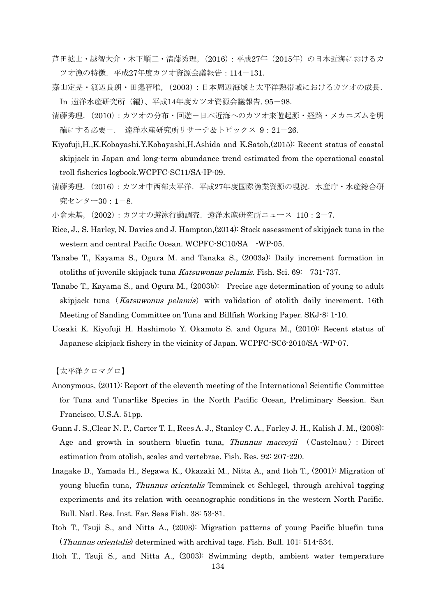- 芦田拡士・越智大介・木下順二・清藤秀理,(2016):平成27年(2015年)の日本近海におけるカ ツオ漁の特徴.平成27年度カツオ資源会議報告:114-131.
- 嘉山定晃・渡辺良朗・田邉智唯,(2003):日本周辺海域と太平洋熱帯域におけるカツオの成長. In 遠洋水産研究所(編)、平成14年度カツオ資源会議報告. 95-98.
- 清藤秀理, (2010): カツオの分布·回遊-日本近海へのカツオ来遊起源·経路·メカニズムを明 確にする必要ー. 遠洋水産研究所リサーチ&トピックス 9:21-26.
- Kiyofuji,H.,K.Kobayashi,Y.Kobayashi,H.Ashida and K.Satoh,(2015): Recent status of coastal skipjack in Japan and long-term abundance trend estimated from the operational coastal troll fisheries logbook.WCPFC-SC11/SA-IP-09.
- 清藤秀理,(2016):カツオ中西部太平洋.平成27年度国際漁業資源の現況.水産庁・水産総合研 究センター30:1-8.
- 小倉未基, (2002):カツオの游泳行動調査. 遠洋水産研究所ニュース 110:2-7.
- Rice, J., S. Harley, N. Davies and J. Hampton,(2014): Stock assessment of skipjack tuna in the western and central Pacific Ocean. WCPFC-SC10/SA -WP-05.
- Tanabe T., Kayama S., Ogura M. and Tanaka S., (2003a): Daily increment formation in otoliths of juvenile skipjack tuna Katsuwonus pelamis. Fish. Sci. 69: 731-737.
- Tanabe T., Kayama S., and Ogura M., (2003b): Precise age determination of young to adult skipjack tuna (Katsuwonus pelamis) with validation of otolith daily increment. 16th Meeting of Sanding Committee on Tuna and Billfish Working Paper. SKJ-8: 1-10.
- Uosaki K. Kiyofuji H. Hashimoto Y. Okamoto S. and Ogura M., (2010): Recent status of Japanese skipjack fishery in the vicinity of Japan. WCPFC-SC6-2010/SA -WP-07.

【太平洋クロマグロ】

- Anonymous, (2011): Report of the eleventh meeting of the International Scientific Committee for Tuna and Tuna-like Species in the North Pacific Ocean, Preliminary Session. San Francisco, U.S.A. 51pp.
- Gunn J. S.,Clear N. P., Carter T. I., Rees A. J., Stanley C. A., Farley J. H., Kalish J. M., (2008): Age and growth in southern bluefin tuna, Thunnus maccoyii (Castelnau): Direct estimation from otolish, scales and vertebrae. Fish. Res. 92: 207-220.
- Inagake D., Yamada H., Segawa K., Okazaki M., Nitta A., and Itoh T., (2001): Migration of young bluefin tuna, Thunnus orientalis Temminck et Schlegel, through archival tagging experiments and its relation with oceanographic conditions in the western North Pacific. Bull. Natl. Res. Inst. Far. Seas Fish. 38: 53-81.
- Itoh T., Tsuji S., and Nitta A., (2003): Migration patterns of young Pacific bluefin tuna (Thunnus orientalis) determined with archival tags. Fish. Bull. 101: 514-534.
- Itoh T., Tsuji S., and Nitta A., (2003): Swimming depth, ambient water temperature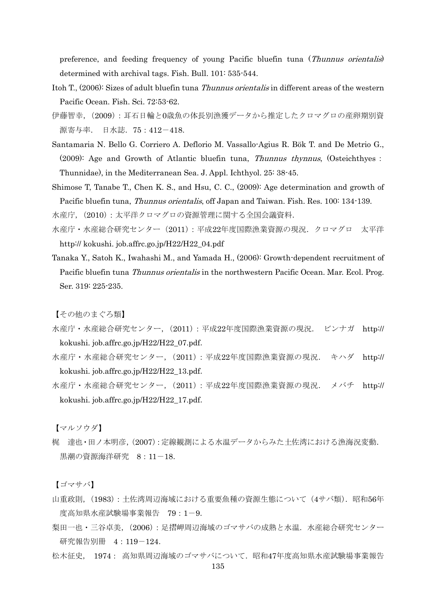preference, and feeding frequency of young Pacific bluefin tuna (Thunnus orientalis) determined with archival tags. Fish. Bull. 101: 535-544.

- Itoh T., (2006): Sizes of adult bluefin tuna Thunnus orientalis in different areas of the western Pacific Ocean. Fish. Sci. 72:53-62.
- 伊藤智幸,(2009):耳石日輪と0歳魚の体長別漁獲データから推定したクロマグロの産卵期別資 源寄与率. 日水誌.75:412-418.
- Santamaria N. Bello G. Corriero A. Deflorio M. Vassallo-Agius R. Bök T. and De Metrio G., (2009): Age and Growth of Atlantic bluefin tuna, Thunnus thynnus, (Osteichthyes: Thunnidae), in the Mediterranean Sea. J. Appl. Ichthyol. 25: 38-45.
- Shimose T, Tanabe T., Chen K. S., and Hsu, C. C., (2009): Age determination and growth of Pacific bluefin tuna, Thunnus orientalis, off Japan and Taiwan. Fish. Res. 100: 134-139.

水産庁,(2010):太平洋クロマグロの資源管理に関する全国会議資料.

- 水産庁・水産総合研究センター(2011):平成22年度国際漁業資源の現況.クロマグロ 太平洋 http:// kokushi. job.affrc.go.jp/H22/H22\_04.pdf
- Tanaka Y., Satoh K., Iwahashi M., and Yamada H., (2006): Growth-dependent recruitment of Pacific bluefin tuna *Thunnus orientalis* in the northwestern Pacific Ocean. Mar. Ecol. Prog. Ser. 319: 225-235.

【その他のまぐろ類】

- 水産庁・水産総合研究センター,(2011):平成22年度国際漁業資源の現況. ビンナガ http:// kokushi. job.affrc.go.jp/H22/H22\_07.pdf.
- 水産庁・水産総合研究センター,(2011):平成22年度国際漁業資源の現況. キハダ http:// kokushi. job.affrc.go.jp/H22/H22\_13.pdf.
- 水産庁・水産総合研究センター,(2011):平成22年度国際漁業資源の現況. メバチ http:// kokushi. job.affrc.go.jp/H22/H22\_17.pdf.

【マルソウダ】

梶 達也・田ノ本明彦,(2007):定線観測による水温データからみた土佐湾における漁海況変動. 黒潮の資源海洋研究 8:11-18.

【ゴマサバ】

- 山重政則, (1983):土佐湾周辺海域における重要魚種の資源生態について(4サバ類). 昭和56年 度高知県水産試験場事業報告 79:1-9.
- 梨田一也・三谷卓美,(2006):足摺岬周辺海域のゴマサバの成熟と水温.水産総合研究センター 研究報告別冊 4:119-124.
- 松木征史, 1974: 高知県周辺海域のゴマサバについて.昭和47年度高知県水産試験場事業報告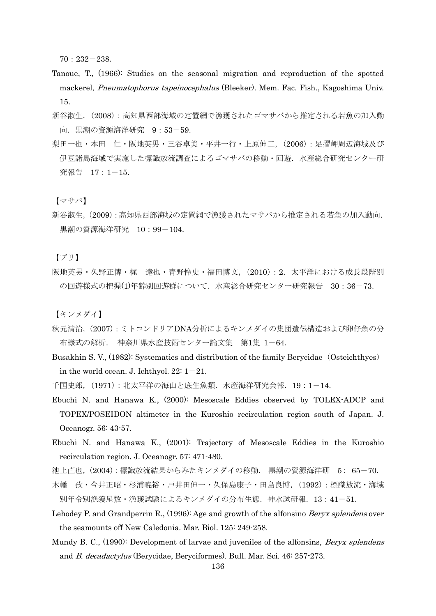70:232-238.

- Tanoue, T., (1966): Studies on the seasonal migration and reproduction of the spotted mackerel, Pneumatophorus tapeinocephalus (Bleeker). Mem. Fac. Fish., Kagoshima Univ. 15.
- 新谷淑生,(2008):高知県西部海域の定置網で漁獲されたゴマサバから推定される若魚の加入動 向. 黒潮の資源海洋研究 9:53-59.
- 梨田一也・本田 仁・阪地英男・三谷卓美・平井一行・上原伸二,(2006):足摺岬周辺海域及び 伊豆諸島海域で実施した標識放流調査によるゴマサバの移動・回遊.水産総合研究センター研 究報告 17:1-15.

【マサバ】

新谷淑生,(2009):高知県西部海域の定置網で漁獲されたマサバから推定される若魚の加入動向. 黒潮の資源海洋研究 10:99-104.

【ブリ】

阪地英男・久野正博・梶 達也・青野怜史・福田博文, (2010): 2. 太平洋における成長段階別 の回遊様式の把握(1)年齢別回遊群について.水産総合研究センター研究報告 30:36-73.

【キンメダイ】

- 秋元清治,(2007):ミトコンドリアDNA分析によるキンメダイの集団遺伝構造および卵仔魚の分 布様式の解析. 神奈川県水産技術センター論文集 第1集 1-64.
- Busakhin S. V., (1982): Systematics and distribution of the family Berycidae (Osteichthyes) in the world ocean. J. Ichthyol.  $22: 1-21$ .

千国史郎,(1971):北太平洋の海山と底生魚類.水産海洋研究会報.19:1-14.

- Ebuchi N. and Hanawa K., (2000): Mesoscale Eddies observed by TOLEX-ADCP and TOPEX/POSEIDON altimeter in the Kuroshio recirculation region south of Japan. J. Oceanogr. 56: 43-57.
- Ebuchi N. and Hanawa K., (2001): Trajectory of Mesoscale Eddies in the Kuroshio recirculation region. J. Oceanogr. 57: 471-480.
- 池上直也,(2004):標識放流結果からみたキンメダイの移動. 黒潮の資源海洋研 5: 65-70.
- 木幡 孜・今井正昭・杉浦暁裕・戸井田伸一・久保島康子・田島良博,(1992):標識放流・海域 別年令別漁獲尾数・漁獲試験によるキンメダイの分布生態.神水試研報.13:41-51.
- Lehodey P. and Grandperrin R., (1996): Age and growth of the alfonsino *Beryx splendens* over the seamounts off New Caledonia. Mar. Biol. 125: 249-258.
- Mundy B. C., (1990): Development of larvae and juveniles of the alfonsins, *Beryx splendens* and B. decadactylus (Berycidae, Beryciformes). Bull. Mar. Sci. 46: 257-273.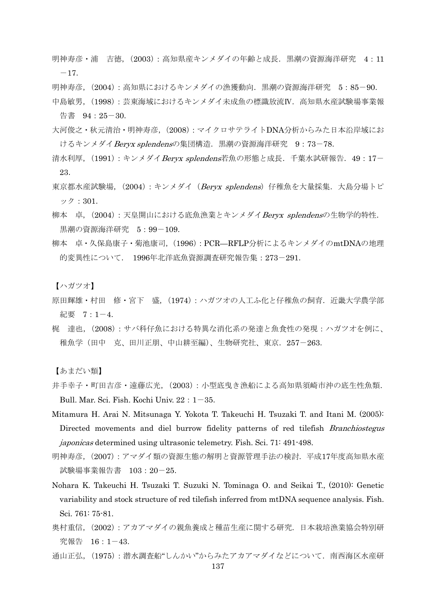- 明神寿彦・浦 吉徳,(2003):高知県産キンメダイの年齢と成長.黒潮の資源海洋研究 4:11  $-17.$
- 明神寿彦,(2004):高知県におけるキンメダイの漁獲動向.黒潮の資源海洋研究 5:85-90.
- 中島敏男,(1998):芸東海域におけるキンメダイ未成魚の標識放流Ⅳ.高知県水産試験場事業報 告書 94:25-30.
- 大河俊之・秋元清治・明神寿彦,(2008):マイクロサテライトDNA分析からみた日本沿岸域にお けるキンメダイ Beryx splendensの集団構造. 黒潮の資源海洋研究 9:73-78.
- 清水利厚, (1991):キンメダイ Beryx splendens若魚の形態と成長. 千葉水試研報告. 49:17-23.
- 東京都水産試験場, (2004) : キンメダイ(*Beryx splendens*)仔稚魚を大量採集. 大島分場トピ ック:301.
- 柳本 卓, (2004):天皇開山における底魚漁業とキンメダイBervx splendensの生物学的特性. 黒潮の資源海洋研究 5:99-109.
- 柳本 卓・久保島康子・菊池康司,(1996):PCR—RFLP分析によるキンメダイのmtDNAの地理 的変異性について. 1996年北洋底魚資源調査研究報告集:273-291.
- 【ハガツオ】
- 原田輝雄・村田 修・宮下 盛, (1974):ハガツオの人工ふ化と仔稚魚の飼育. 近畿大学農学部 紀要 7:1-4.
- 梶 達也,(2008):サバ科仔魚における特異な消化系の発達と魚食性の発現:ハガツオを例に、 稚魚学(田中 克、田川正朋、中山耕至編)、生物研究社、東京.257-263.

【あまだい類】

- 井手幸子・町田吉彦・遠藤広光,(2003):小型底曳き漁船による高知県須崎市沖の底生性魚類. Bull. Mar. Sci. Fish. Kochi Univ.  $22:1-35$ .
- Mitamura H. Arai N. Mitsunaga Y. Yokota T. Takeuchi H. Tsuzaki T. and Itani M. (2005): Directed movements and diel burrow fidelity patterns of red tilefish *Branchiostegus* japonicas determined using ultrasonic telemetry. Fish. Sci. 71: 491-498.
- 明神寿彦,(2007):アマダイ類の資源生態の解明と資源管理手法の検討.平成17年度高知県水産 試験場事業報告書 103:20-25.
- Nohara K. Takeuchi H. Tsuzaki T. Suzuki N. Tominaga O. and Seikai T., (2010): Genetic variability and stock structure of red tilefish inferred from mtDNA sequence analysis. Fish. Sci. 761: 75-81.
- 奥村重信,(2002):アカアマダイの親魚養成と種苗生産に関する研究.日本栽培漁業協会特別研 究報告 16:1-43.
- 通山正弘, (1975):潜水調査船"しんかい"からみたアカアマダイなどについて. 南西海区水産研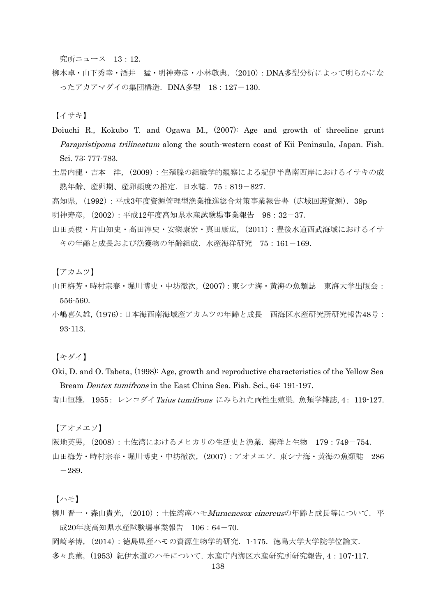究所ニュース 13:12.

柳本卓・山下秀幸・酒井 猛・明神寿彦・小林敬典,(2010):DNA多型分析によって明らかにな ったアカアマダイの集団構造.DNA多型 18:127-130.

【イサキ】

- Doiuchi R., Kokubo T. and Ogawa M., (2007): Age and growth of threeline grunt Parapristipoma trilineatum along the south-western coast of Kii Peninsula, Japan. Fish. Sci. 73: 777-783.
- 土居内龍・吉本 洋,(2009):生殖腺の組織学的観察による紀伊半島南西岸におけるイサキの成 熟年齢、産卵期、産卵頻度の推定.日水誌.75:819-827.

高知県,(1992):平成3年度資源管理型漁業推進総合対策事業報告書(広域回遊資源).39p

明神寿彦,(2002):平成12年度高知県水産試験場事業報告 98:32-37.

山田英俊·片山知史·高田淳史·安樂康宏·真田康広, (2011): 豊後水道西武海域におけるイサ キの年齢と成長および漁獲物の年齢組成.水産海洋研究 75:161-169.

【アカムツ】

- 山田梅芳・時村宗春・堀川博史・中坊徹次,(2007):東シナ海・黄海の魚類誌 東海大学出版会: 556-560.
- 小嶋喜久雄,(1976):日本海西南海域産アカムツの年齢と成長 西海区水産研究所研究報告48号: 93-113.

【キダイ】

Oki, D. and O. Tabeta, (1998): Age, growth and reproductive characteristics of the Yellow Sea Bream Dentex tumifrons in the East China Sea. Fish. Sci., 64: 191-197.

青山恒雄, 1955: レンコダイTaius tumifrons にみられた両性生殖巣. 魚類学雑誌. 4: 119-127.

【アオメエソ】

阪地英男,(2008):土佐湾におけるメヒカリの生活史と漁業.海洋と生物 179:749-754.

山田梅芳・時村宗春・堀川博史・中坊徹次,(2007):アオメエソ.東シナ海・黄海の魚類誌 286  $-289.$ 

【ハモ】

- 柳川晋一・森山貴光, (2010): 土佐湾産ハモMuraenesox cinereusの年齢と成長等について. 平 成20年度高知県水産試験場事業報告 106:64-70.
- 岡崎孝博,(2014):徳島県産ハモの資源生物学的研究.1-175.徳島大学大学院学位論文.
- 多々良薫,(1953) 紀伊水道のハモについて. 水産庁内海区水産研究所研究報告, 4:107-117.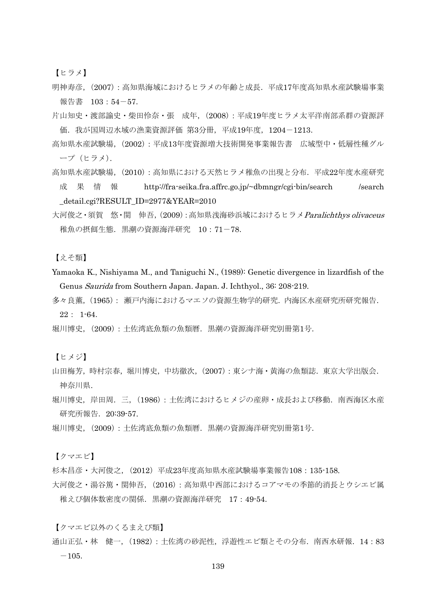【ヒラメ】

- 明神寿彦,(2007):高知県海域におけるヒラメの年齢と成長.平成17年度高知県水産試験場事業 報告書 103:54-57.
- 片山知史・渡部諭史・柴田怜奈・張 成年,(2008):平成19年度ヒラメ太平洋南部系群の資源評 価.我が国周辺水域の漁業資源評価 第3分冊,平成19年度,1204-1213.
- 高知県水産試験場,(2002):平成13年度資源増大技術開発事業報告書 広域型中・低層性種グル ープ(ヒラメ).
- 高知県水産試験場,(2010):高知県における天然ヒラメ稚魚の出現と分布.平成22年度水産研究 成 果 情 報 http://fra-seika.fra.affrc.go.jp/~dbmngr/cgi-bin/search /search \_detail.cgi?RESULT\_ID=2977&YEAR=2010
- 大河俊之・須賀 悠・関 伸吾, (2009): 高知県浅海砂浜域におけるヒラメ Paralichthys olivaceus 稚魚の摂餌生態.黒潮の資源海洋研究 10:71-78.

【えそ類】

- Yamaoka K., Nishiyama M., and Taniguchi N., (1989): Genetic divergence in lizardfish of the Genus Saurida from Southern Japan. Japan. J. Ichthyol., 36: 208-219.
- 多々良薫,(1965): 瀬戸内海におけるマエソの資源生物学的研究.内海区水産研究所研究報告. 22: 1-64.
- 堀川博史,(2009):土佐湾底魚類の魚類暦.黒潮の資源海洋研究別冊第1号.

【ヒメジ】

- 山田梅芳,時村宗春,堀川博史,中坊徹次,(2007):東シナ海・黄海の魚類誌.東京大学出版会. 神奈川県.
- 堀川博史,岸田周.三, (1986):土佐湾におけるヒメジの産卵・成長および移動.南西海区水産 研究所報告.20:39-57.
- 堀川博史,(2009):土佐湾底魚類の魚類暦.黒潮の資源海洋研究別冊第1号.

【クマエビ】

杉本昌彦・大河俊之,(2012)平成23年度高知県水産試験場事業報告108:135-158.

大河俊之・湯谷篤・関伸吾,(2016):高知県中西部におけるコアマモの季節的消長とウシエビ属 稚えび個体数密度の関係.黒潮の資源海洋研究 17:49-54.

【クマエビ以外のくるまえび類】

通山正弘・林 健一,(1982):土佐湾の砂泥性,浮遊性エビ類とその分布.南西水研報.14:83  $-105.$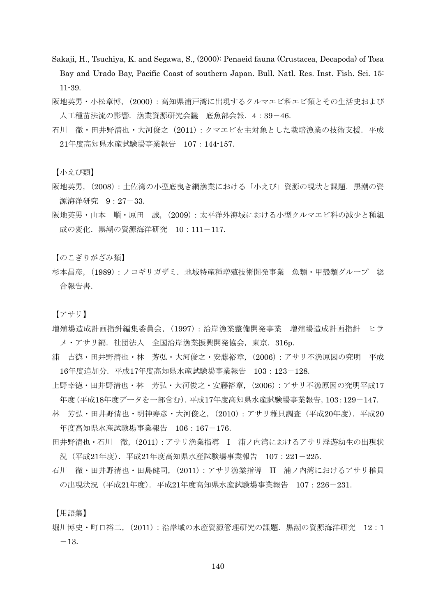- Sakaji, H., Tsuchiya, K. and Segawa, S., (2000): Penaeid fauna (Crustacea, Decapoda) of Tosa Bay and Urado Bay, Pacific Coast of southern Japan. Bull. Natl. Res. Inst. Fish. Sci. 15: 11-39.
- 阪地英男・小松章博,(2000):高知県浦戸湾に出現するクルマエビ科エビ類とその生活史および 人工種苗法流の影響. 漁業資源研究会議 底魚部会報. 4:39-46.
- 石川 徹·田井野清也·大河俊之(2011):クマエビを主対象とした栽培漁業の技術支援. 平成 21年度高知県水産試験場事業報告 107:144-157.

【小えび類】

- 阪地英男,(2008):土佐湾の小型底曳き網漁業における「小えび」資源の現状と課題.黒潮の資 源海洋研究 9:27-33.
- 阪地英男・山本 順・原田 誠,(2009):太平洋外海域における小型クルマエビ科の減少と種組 成の変化. 黒潮の資源海洋研究 10:111-117.

【のこぎりがざみ類】

杉本昌彦,(1989):ノコギリガザミ.地域特産種増殖技術開発事業 魚類・甲殻類グループ 総 合報告書.

【アサリ】

- 増殖場造成計画指針編集委員会,(1997):沿岸漁業整備開発事業 増殖場造成計画指針 ヒラ メ・アサリ編. 社団法人 全国沿岸漁業振興開発協会, 東京. 316p.
- 浦 吉徳・田井野清也・林 芳弘・大河俊之・安藤裕章,(2006):アサリ不漁原因の究明 平成 16年度追加分.平成17年度高知県水産試験場事業報告 103:123-128.
- 上野幸徳・田井野清也・林 芳弘・大河俊之・安藤裕章,(2006):アサリ不漁原因の究明平成17 年度(平成18年度データを一部含む).平成17年度高知県水産試験場事業報告,103:129-147.
- 林 芳弘・田井野清也・明神寿彦・大河俊之,(2010):アサリ稚貝調査(平成20年度).平成20 年度高知県水産試験場事業報告 106:167-176.
- 田井野清也・石川 徹,(2011):アサリ漁業指導 I 浦ノ内湾におけるアサリ浮遊幼生の出現状 況(平成21年度).平成21年度高知県水産試験場事業報告 107:221-225.
- 石川 徹・田井野清也・田島健司,(2011):アサリ漁業指導 II 浦ノ内湾におけるアサリ稚貝 の出現状況(平成21年度).平成21年度高知県水産試験場事業報告 107:226-231.

【用語集】

堀川博史・町口裕二,(2011):沿岸域の水産資源管理研究の課題.黒潮の資源海洋研究 12:1  $-13.$